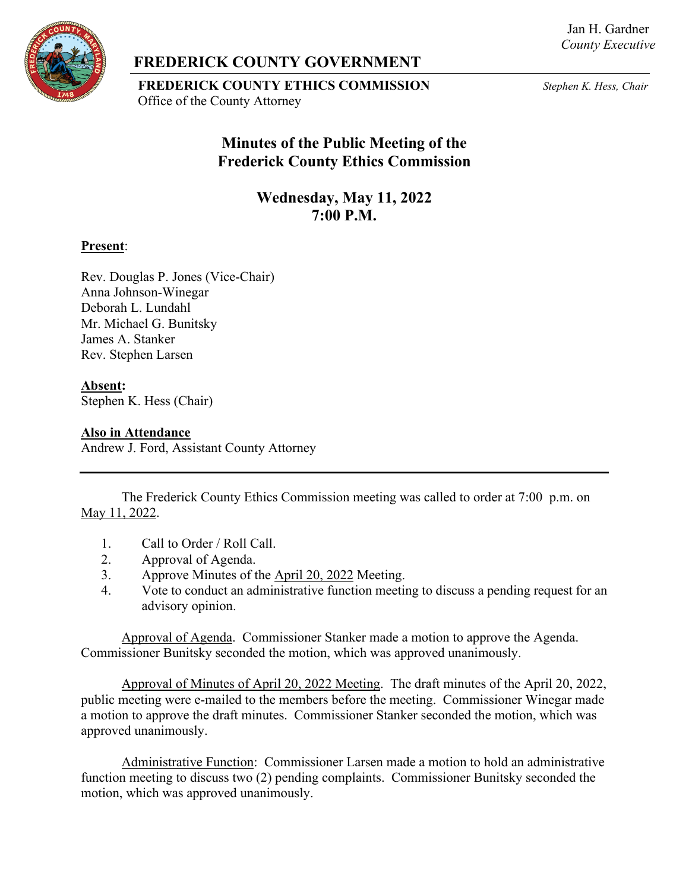Jan H. Gardner *County Executive*



## **FREDERICK COUNTY GOVERNMENT**

**FREDERICK COUNTY ETHICS COMMISSION** *Stephen K. Hess, Chair* Office of the County Attorney

# **Minutes of the Public Meeting of the Frederick County Ethics Commission**

**Wednesday, May 11, 2022 7:00 P.M.**

#### **Present**:

Rev. Douglas P. Jones (Vice-Chair) Anna Johnson-Winegar Deborah L. Lundahl Mr. Michael G. Bunitsky James A. Stanker Rev. Stephen Larsen

### **Absent:**

Stephen K. Hess (Chair)

#### **Also in Attendance**

Andrew J. Ford, Assistant County Attorney

The Frederick County Ethics Commission meeting was called to order at 7:00 p.m. on May 11, 2022.

- 1. Call to Order / Roll Call.
- 2. Approval of Agenda.
- 3. Approve Minutes of the April 20, 2022 Meeting.
- 4. Vote to conduct an administrative function meeting to discuss a pending request for an advisory opinion.

Approval of Agenda. Commissioner Stanker made a motion to approve the Agenda. Commissioner Bunitsky seconded the motion, which was approved unanimously.

Approval of Minutes of April 20, 2022 Meeting. The draft minutes of the April 20, 2022, public meeting were e-mailed to the members before the meeting. Commissioner Winegar made a motion to approve the draft minutes. Commissioner Stanker seconded the motion, which was approved unanimously.

Administrative Function: Commissioner Larsen made a motion to hold an administrative function meeting to discuss two (2) pending complaints. Commissioner Bunitsky seconded the motion, which was approved unanimously.